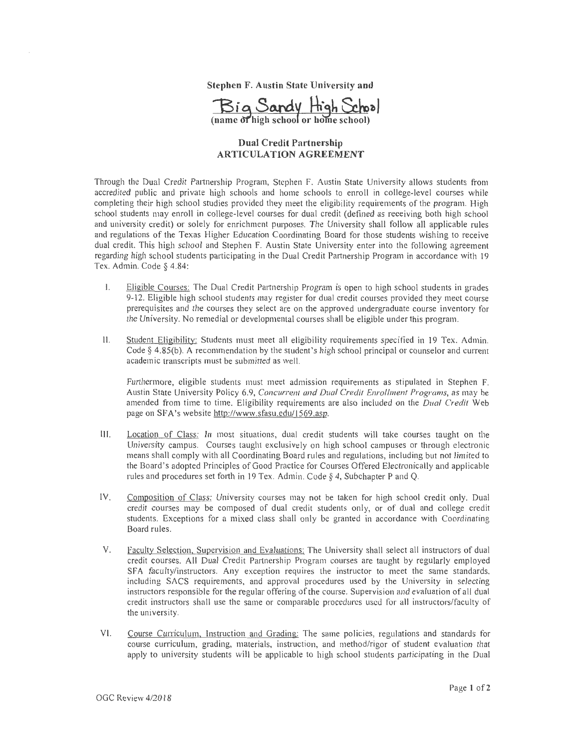**Stephen F. Austin State University and** 



## **Dual Credit Partnership ARTICULATION AGREEMENT**

Through the Dual Credit Paitnership Program, Stephen F. Austin State University allows students from accredited public and private high schools and home schools to enroll in college-level courses while completing their high school studies provided they meet the eligibility requirements of the program. High school students may enroll in college-level courses for dual credit (defined as receiving both high school and university credit) or solely for enrichment purposes. The University shall follow all applicable rules and regulations of the Texas Higher Education Coordinating Board for those students wishing to receive dual credit. This high school and Stephen F. Austin State University enter into the following agreement regarding high school students participating in the Dual Credit Partnership Program in accordance with 19 Tex. Admin. Code § 4.84:

- I. Eligible Courses: The Dual Credit Partnership Program is open to high school students in grades 9-12. Eligible high school students may register for dual credit courses provided they meet course prerequisites and the courses they select are on the approved undergraduate course inventory for the University. No remedial or developmental courses shall be eligible under this program.
- 11. Student Eligibility: Students must meet all eligibility requirements specified in 19 Tex. Admin. Code§ 4.85(b). A recommendation by the student's high school principal or counselor and current academic transcripts must be submitted as well.

Furthermore, eligible students must meet admission requirements as stipulated in Stephen F. Austin State University Policy 6.9, *Concurrent and Dual Credit Enrollment Programs*, as may be amended from time to time. Eligibility requirements are also included on the *Dual Credit* Web page on SF A's website http://www.sfasu.edu/1569.asp.

- 111. Location of Class: **Jn** most situations, dual credit students will take courses taught on the University campus. Courses taught exclusively on high school campuses or through electronic means shall comply with all Coordinating Board rules and regulations, including but not limited to the Board's adopted Principles of Good Practice for Courses Offered Electronically and applicable rules and procedures set fotth in 19 Tex. Adniin. Code § 4, Subchapter P and Q.
- IV. Composition of Class: University courses may not be taken for high school credit only. Dual credit courses may be composed of dual credit students only, or of dual and college credit students. Exceptions for a mixed class shall only be granted in accordance with Coordinating Board rules.
- V. Faculty Selection, Supervision and Evaluations: The University shall select all instructors of dual credit courses. All Dual Credit Partnership Program courses are taught by regularly employed SFA faculty/instructors. Any exception requires the instructor to meet the same standards, including SACS requirements, and approval procedures used by the University in selecting instructors responsible for the regular offering of the course. Supervision and evaluation of all dual credit instructors shall use the same or comparable procedures used for all instructors/faculty of the university.
- VI. Course Curriculum, Instruction and Grading: The same policies, regulations and standards for course curriculum, grading, materials, instruction, and method/rigor of student evaluation that apply to university students will be applicable to high school students participating in the Dual